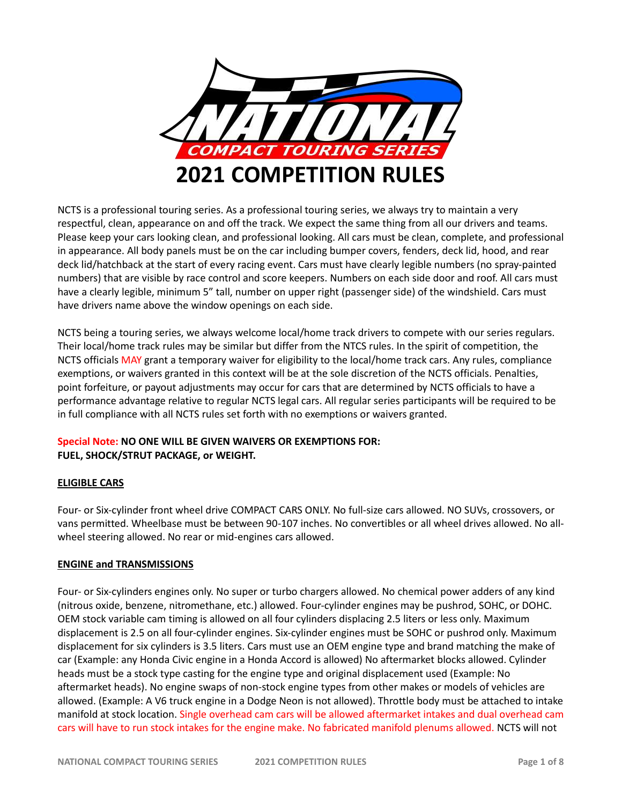

NCTS is a professional touring series. As a professional touring series, we always try to maintain a very respectful, clean, appearance on and off the track. We expect the same thing from all our drivers and teams. Please keep your cars looking clean, and professional looking. All cars must be clean, complete, and professional in appearance. All body panels must be on the car including bumper covers, fenders, deck lid, hood, and rear deck lid/hatchback at the start of every racing event. Cars must have clearly legible numbers (no spray-painted numbers) that are visible by race control and score keepers. Numbers on each side door and roof. All cars must have a clearly legible, minimum 5" tall, number on upper right (passenger side) of the windshield. Cars must have drivers name above the window openings on each side.

NCTS being a touring series, we always welcome local/home track drivers to compete with our series regulars. Their local/home track rules may be similar but differ from the NTCS rules. In the spirit of competition, the NCTS officials MAY grant a temporary waiver for eligibility to the local/home track cars. Any rules, compliance exemptions, or waivers granted in this context will be at the sole discretion of the NCTS officials. Penalties, point forfeiture, or payout adjustments may occur for cars that are determined by NCTS officials to have a performance advantage relative to regular NCTS legal cars. All regular series participants will be required to be in full compliance with all NCTS rules set forth with no exemptions or waivers granted.

# **Special Note: NO ONE WILL BE GIVEN WAIVERS OR EXEMPTIONS FOR: FUEL, SHOCK/STRUT PACKAGE, or WEIGHT.**

## **ELIGIBLE CARS**

Four- or Six-cylinder front wheel drive COMPACT CARS ONLY. No full-size cars allowed. NO SUVs, crossovers, or vans permitted. Wheelbase must be between 90-107 inches. No convertibles or all wheel drives allowed. No allwheel steering allowed. No rear or mid-engines cars allowed.

## **ENGINE and TRANSMISSIONS**

Four- or Six-cylinders engines only. No super or turbo chargers allowed. No chemical power adders of any kind (nitrous oxide, benzene, nitromethane, etc.) allowed. Four-cylinder engines may be pushrod, SOHC, or DOHC. OEM stock variable cam timing is allowed on all four cylinders displacing 2.5 liters or less only. Maximum displacement is 2.5 on all four-cylinder engines. Six-cylinder engines must be SOHC or pushrod only. Maximum displacement for six cylinders is 3.5 liters. Cars must use an OEM engine type and brand matching the make of car (Example: any Honda Civic engine in a Honda Accord is allowed) No aftermarket blocks allowed. Cylinder heads must be a stock type casting for the engine type and original displacement used (Example: No aftermarket heads). No engine swaps of non-stock engine types from other makes or models of vehicles are allowed. (Example: A V6 truck engine in a Dodge Neon is not allowed). Throttle body must be attached to intake manifold at stock location. Single overhead cam cars will be allowed aftermarket intakes and dual overhead cam cars will have to run stock intakes for the engine make. No fabricated manifold plenums allowed. NCTS will not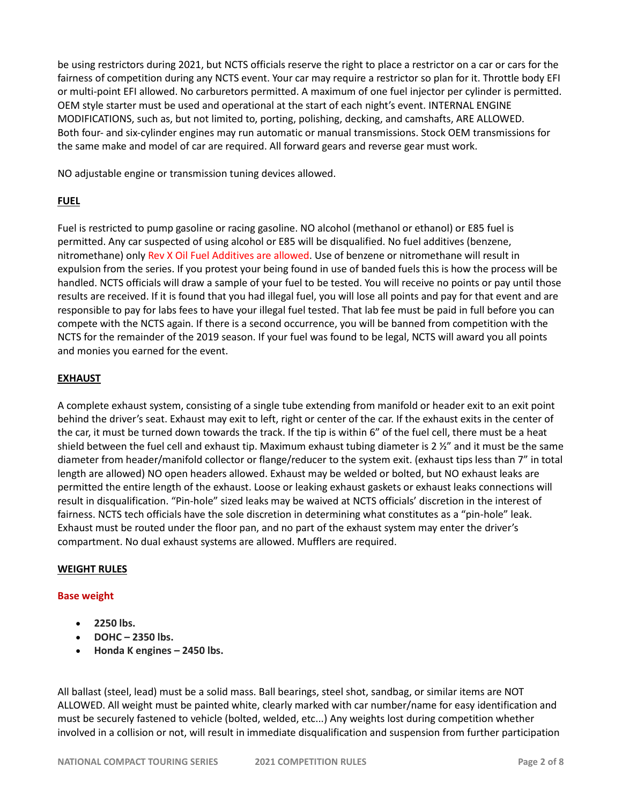be using restrictors during 2021, but NCTS officials reserve the right to place a restrictor on a car or cars for the fairness of competition during any NCTS event. Your car may require a restrictor so plan for it. Throttle body EFI or multi-point EFI allowed. No carburetors permitted. A maximum of one fuel injector per cylinder is permitted. OEM style starter must be used and operational at the start of each night's event. INTERNAL ENGINE MODIFICATIONS, such as, but not limited to, porting, polishing, decking, and camshafts, ARE ALLOWED. Both four- and six-cylinder engines may run automatic or manual transmissions. Stock OEM transmissions for the same make and model of car are required. All forward gears and reverse gear must work.

NO adjustable engine or transmission tuning devices allowed.

# **FUEL**

Fuel is restricted to pump gasoline or racing gasoline. NO alcohol (methanol or ethanol) or E85 fuel is permitted. Any car suspected of using alcohol or E85 will be disqualified. No fuel additives (benzene, nitromethane) only Rev X Oil Fuel Additives are allowed. Use of benzene or nitromethane will result in expulsion from the series. If you protest your being found in use of banded fuels this is how the process will be handled. NCTS officials will draw a sample of your fuel to be tested. You will receive no points or pay until those results are received. If it is found that you had illegal fuel, you will lose all points and pay for that event and are responsible to pay for labs fees to have your illegal fuel tested. That lab fee must be paid in full before you can compete with the NCTS again. If there is a second occurrence, you will be banned from competition with the NCTS for the remainder of the 2019 season. If your fuel was found to be legal, NCTS will award you all points and monies you earned for the event.

# **EXHAUST**

A complete exhaust system, consisting of a single tube extending from manifold or header exit to an exit point behind the driver's seat. Exhaust may exit to left, right or center of the car. If the exhaust exits in the center of the car, it must be turned down towards the track. If the tip is within 6" of the fuel cell, there must be a heat shield between the fuel cell and exhaust tip. Maximum exhaust tubing diameter is 2  $\frac{1}{2}$ " and it must be the same diameter from header/manifold collector or flange/reducer to the system exit. (exhaust tips less than 7" in total length are allowed) NO open headers allowed. Exhaust may be welded or bolted, but NO exhaust leaks are permitted the entire length of the exhaust. Loose or leaking exhaust gaskets or exhaust leaks connections will result in disqualification. "Pin-hole" sized leaks may be waived at NCTS officials' discretion in the interest of fairness. NCTS tech officials have the sole discretion in determining what constitutes as a "pin-hole" leak. Exhaust must be routed under the floor pan, and no part of the exhaust system may enter the driver's compartment. No dual exhaust systems are allowed. Mufflers are required.

## **WEIGHT RULES**

## **Base weight**

- **2250 lbs.**
- **DOHC – 2350 lbs.**
- **Honda K engines – 2450 lbs.**

All ballast (steel, lead) must be a solid mass. Ball bearings, steel shot, sandbag, or similar items are NOT ALLOWED. All weight must be painted white, clearly marked with car number/name for easy identification and must be securely fastened to vehicle (bolted, welded, etc...) Any weights lost during competition whether involved in a collision or not, will result in immediate disqualification and suspension from further participation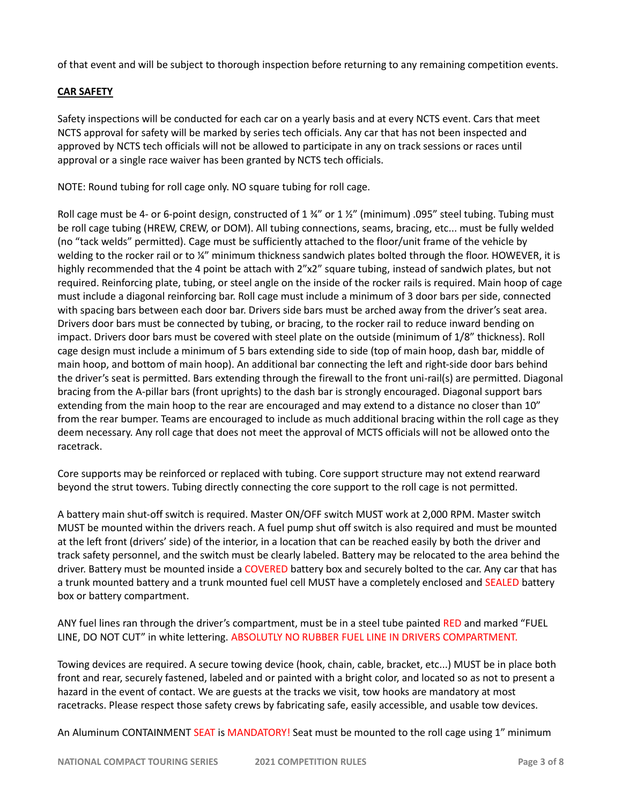of that event and will be subject to thorough inspection before returning to any remaining competition events.

# **CAR SAFETY**

Safety inspections will be conducted for each car on a yearly basis and at every NCTS event. Cars that meet NCTS approval for safety will be marked by series tech officials. Any car that has not been inspected and approved by NCTS tech officials will not be allowed to participate in any on track sessions or races until approval or a single race waiver has been granted by NCTS tech officials.

NOTE: Round tubing for roll cage only. NO square tubing for roll cage.

Roll cage must be 4- or 6-point design, constructed of 1 $\frac{3}{4}$ " or 1  $\frac{1}{2}$ " (minimum) .095" steel tubing. Tubing must be roll cage tubing (HREW, CREW, or DOM). All tubing connections, seams, bracing, etc... must be fully welded (no "tack welds" permitted). Cage must be sufficiently attached to the floor/unit frame of the vehicle by welding to the rocker rail or to ¼" minimum thickness sandwich plates bolted through the floor. HOWEVER, it is highly recommended that the 4 point be attach with 2"x2" square tubing, instead of sandwich plates, but not required. Reinforcing plate, tubing, or steel angle on the inside of the rocker rails is required. Main hoop of cage must include a diagonal reinforcing bar. Roll cage must include a minimum of 3 door bars per side, connected with spacing bars between each door bar. Drivers side bars must be arched away from the driver's seat area. Drivers door bars must be connected by tubing, or bracing, to the rocker rail to reduce inward bending on impact. Drivers door bars must be covered with steel plate on the outside (minimum of 1/8" thickness). Roll cage design must include a minimum of 5 bars extending side to side (top of main hoop, dash bar, middle of main hoop, and bottom of main hoop). An additional bar connecting the left and right-side door bars behind the driver's seat is permitted. Bars extending through the firewall to the front uni-rail(s) are permitted. Diagonal bracing from the A-pillar bars (front uprights) to the dash bar is strongly encouraged. Diagonal support bars extending from the main hoop to the rear are encouraged and may extend to a distance no closer than 10" from the rear bumper. Teams are encouraged to include as much additional bracing within the roll cage as they deem necessary. Any roll cage that does not meet the approval of MCTS officials will not be allowed onto the racetrack.

Core supports may be reinforced or replaced with tubing. Core support structure may not extend rearward beyond the strut towers. Tubing directly connecting the core support to the roll cage is not permitted.

A battery main shut-off switch is required. Master ON/OFF switch MUST work at 2,000 RPM. Master switch MUST be mounted within the drivers reach. A fuel pump shut off switch is also required and must be mounted at the left front (drivers' side) of the interior, in a location that can be reached easily by both the driver and track safety personnel, and the switch must be clearly labeled. Battery may be relocated to the area behind the driver. Battery must be mounted inside a COVERED battery box and securely bolted to the car. Any car that has a trunk mounted battery and a trunk mounted fuel cell MUST have a completely enclosed and SEALED battery box or battery compartment.

ANY fuel lines ran through the driver's compartment, must be in a steel tube painted RED and marked "FUEL LINE, DO NOT CUT" in white lettering. ABSOLUTLY NO RUBBER FUEL LINE IN DRIVERS COMPARTMENT.

Towing devices are required. A secure towing device (hook, chain, cable, bracket, etc...) MUST be in place both front and rear, securely fastened, labeled and or painted with a bright color, and located so as not to present a hazard in the event of contact. We are guests at the tracks we visit, tow hooks are mandatory at most racetracks. Please respect those safety crews by fabricating safe, easily accessible, and usable tow devices.

An Aluminum CONTAINMENT SEAT is MANDATORY! Seat must be mounted to the roll cage using 1" minimum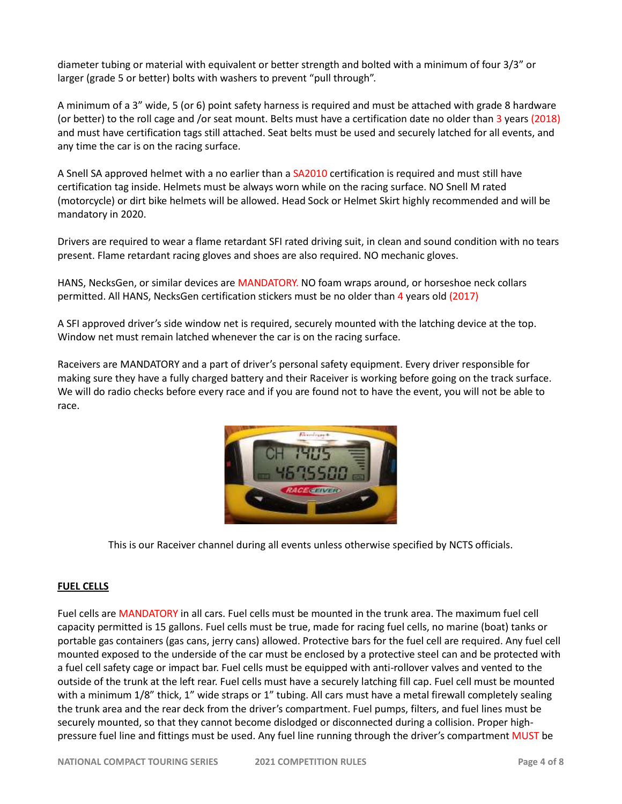diameter tubing or material with equivalent or better strength and bolted with a minimum of four 3/3" or larger (grade 5 or better) bolts with washers to prevent "pull through".

A minimum of a 3" wide, 5 (or 6) point safety harness is required and must be attached with grade 8 hardware (or better) to the roll cage and /or seat mount. Belts must have a certification date no older than 3 years (2018) and must have certification tags still attached. Seat belts must be used and securely latched for all events, and any time the car is on the racing surface.

A Snell SA approved helmet with a no earlier than a SA2010 certification is required and must still have certification tag inside. Helmets must be always worn while on the racing surface. NO Snell M rated (motorcycle) or dirt bike helmets will be allowed. Head Sock or Helmet Skirt highly recommended and will be mandatory in 2020.

Drivers are required to wear a flame retardant SFI rated driving suit, in clean and sound condition with no tears present. Flame retardant racing gloves and shoes are also required. NO mechanic gloves.

HANS, NecksGen, or similar devices are MANDATORY. NO foam wraps around, or horseshoe neck collars permitted. All HANS, NecksGen certification stickers must be no older than 4 years old (2017)

A SFI approved driver's side window net is required, securely mounted with the latching device at the top. Window net must remain latched whenever the car is on the racing surface.

Raceivers are MANDATORY and a part of driver's personal safety equipment. Every driver responsible for making sure they have a fully charged battery and their Raceiver is working before going on the track surface. We will do radio checks before every race and if you are found not to have the event, you will not be able to race.



This is our Raceiver channel during all events unless otherwise specified by NCTS officials.

#### **FUEL CELLS**

Fuel cells are MANDATORY in all cars. Fuel cells must be mounted in the trunk area. The maximum fuel cell capacity permitted is 15 gallons. Fuel cells must be true, made for racing fuel cells, no marine (boat) tanks or portable gas containers (gas cans, jerry cans) allowed. Protective bars for the fuel cell are required. Any fuel cell mounted exposed to the underside of the car must be enclosed by a protective steel can and be protected with a fuel cell safety cage or impact bar. Fuel cells must be equipped with anti-rollover valves and vented to the outside of the trunk at the left rear. Fuel cells must have a securely latching fill cap. Fuel cell must be mounted with a minimum 1/8" thick, 1" wide straps or 1" tubing. All cars must have a metal firewall completely sealing the trunk area and the rear deck from the driver's compartment. Fuel pumps, filters, and fuel lines must be securely mounted, so that they cannot become dislodged or disconnected during a collision. Proper highpressure fuel line and fittings must be used. Any fuel line running through the driver's compartment MUST be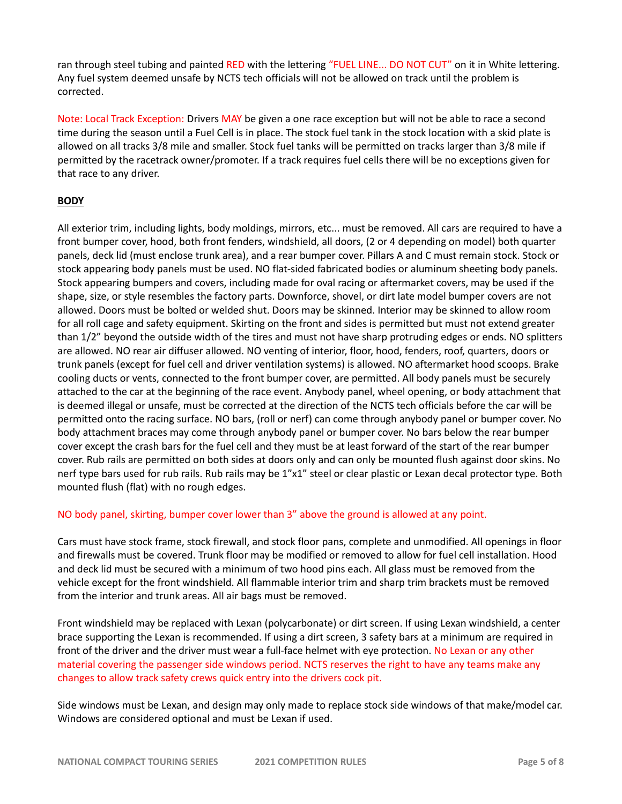ran through steel tubing and painted RED with the lettering "FUEL LINE... DO NOT CUT" on it in White lettering. Any fuel system deemed unsafe by NCTS tech officials will not be allowed on track until the problem is corrected.

Note: Local Track Exception: Drivers MAY be given a one race exception but will not be able to race a second time during the season until a Fuel Cell is in place. The stock fuel tank in the stock location with a skid plate is allowed on all tracks 3/8 mile and smaller. Stock fuel tanks will be permitted on tracks larger than 3/8 mile if permitted by the racetrack owner/promoter. If a track requires fuel cells there will be no exceptions given for that race to any driver.

## **BODY**

All exterior trim, including lights, body moldings, mirrors, etc... must be removed. All cars are required to have a front bumper cover, hood, both front fenders, windshield, all doors, (2 or 4 depending on model) both quarter panels, deck lid (must enclose trunk area), and a rear bumper cover. Pillars A and C must remain stock. Stock or stock appearing body panels must be used. NO flat-sided fabricated bodies or aluminum sheeting body panels. Stock appearing bumpers and covers, including made for oval racing or aftermarket covers, may be used if the shape, size, or style resembles the factory parts. Downforce, shovel, or dirt late model bumper covers are not allowed. Doors must be bolted or welded shut. Doors may be skinned. Interior may be skinned to allow room for all roll cage and safety equipment. Skirting on the front and sides is permitted but must not extend greater than 1/2" beyond the outside width of the tires and must not have sharp protruding edges or ends. NO splitters are allowed. NO rear air diffuser allowed. NO venting of interior, floor, hood, fenders, roof, quarters, doors or trunk panels (except for fuel cell and driver ventilation systems) is allowed. NO aftermarket hood scoops. Brake cooling ducts or vents, connected to the front bumper cover, are permitted. All body panels must be securely attached to the car at the beginning of the race event. Anybody panel, wheel opening, or body attachment that is deemed illegal or unsafe, must be corrected at the direction of the NCTS tech officials before the car will be permitted onto the racing surface. NO bars, (roll or nerf) can come through anybody panel or bumper cover. No body attachment braces may come through anybody panel or bumper cover. No bars below the rear bumper cover except the crash bars for the fuel cell and they must be at least forward of the start of the rear bumper cover. Rub rails are permitted on both sides at doors only and can only be mounted flush against door skins. No nerf type bars used for rub rails. Rub rails may be 1"x1" steel or clear plastic or Lexan decal protector type. Both mounted flush (flat) with no rough edges.

NO body panel, skirting, bumper cover lower than 3" above the ground is allowed at any point.

Cars must have stock frame, stock firewall, and stock floor pans, complete and unmodified. All openings in floor and firewalls must be covered. Trunk floor may be modified or removed to allow for fuel cell installation. Hood and deck lid must be secured with a minimum of two hood pins each. All glass must be removed from the vehicle except for the front windshield. All flammable interior trim and sharp trim brackets must be removed from the interior and trunk areas. All air bags must be removed.

Front windshield may be replaced with Lexan (polycarbonate) or dirt screen. If using Lexan windshield, a center brace supporting the Lexan is recommended. If using a dirt screen, 3 safety bars at a minimum are required in front of the driver and the driver must wear a full-face helmet with eye protection. No Lexan or any other material covering the passenger side windows period. NCTS reserves the right to have any teams make any changes to allow track safety crews quick entry into the drivers cock pit.

Side windows must be Lexan, and design may only made to replace stock side windows of that make/model car. Windows are considered optional and must be Lexan if used.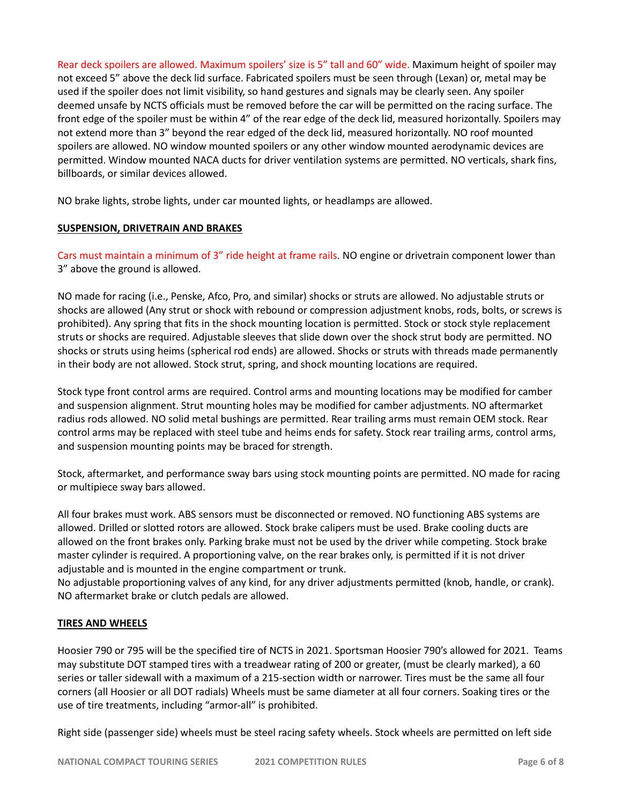Rear deck spoilers are allowed. Maximum spoilers' size is 5" tall and 60" wide. Maximum height of spoiler may not exceed 5" above the deck lid surface. Fabricated spoilers must be seen through (Lexan) or, metal may be used if the spoiler does not limit visibility, so hand gestures and signals may be clearly seen. Any spoiler deemed unsafe by NCTS officials must be removed before the car will be permitted on the racing surface. The front edge of the spoiler must be within 4" of the rear edge of the deck lid, measured horizontally. Spoilers may not extend more than 3" beyond the rear edged of the deck lid, measured horizontally. NO roof mounted spoilers are allowed. NO window mounted spoilers or any other window mounted aerodynamic devices are permitted. Window mounted NACA ducts for driver ventilation systems are permitted. NO verticals, shark fins, billboards, or similar devices allowed.

NO brake lights, strobe lights, under car mounted lights, or headlamps are allowed.

### **SUSPENSION, DRIVETRAIN AND BRAKES**

Cars must maintain a minimum of 3" ride height at frame rails. NO engine or drivetrain component lower than 3" above the ground is allowed.

NO made for racing (i.e., Penske, Afco, Pro, and similar) shocks or struts are allowed. No adjustable struts or shocks are allowed (Any strut or shock with rebound or compression adjustment knobs, rods, bolts, or screws is prohibited). Any spring that fits in the shock mounting location is permitted. Stock or stock style replacement struts or shocks are required. Adjustable sleeves that slide down over the shock strut body are permitted. NO shocks or struts using heims (spherical rod ends) are allowed. Shocks or struts with threads made permanently in their body are not allowed. Stock strut, spring, and shock mounting locations are required.

Stock type front control arms are required. Control arms and mounting locations may be modified for camber and suspension alignment. Strut mounting holes may be modified for camber adjustments. NO aftermarket radius rods allowed. NO solid metal bushings are permitted. Rear trailing arms must remain OEM stock. Rear control arms may be replaced with steel tube and heims ends for safety. Stock rear trailing arms, control arms, and suspension mounting points may be braced for strength.

Stock, aftermarket, and performance sway bars using stock mounting points are permitted. NO made for racing or multipiece sway bars allowed.

All four brakes must work. ABS sensors must be disconnected or removed. NO functioning ABS systems are allowed. Drilled or slotted rotors are allowed. Stock brake calipers must be used. Brake cooling ducts are allowed on the front brakes only. Parking brake must not be used by the driver while competing. Stock brake master cylinder is required. A proportioning valve, on the rear brakes only, is permitted if it is not driver adjustable and is mounted in the engine compartment or trunk.

No adjustable proportioning valves of any kind, for any driver adjustments permitted (knob, handle, or crank). NO aftermarket brake or clutch pedals are allowed.

#### **TIRES AND WHEELS**

Hoosier 790 or 795 will be the specified tire of NCTS in 2021. Sportsman Hoosier 790's allowed for 2021. Teams may substitute DOT stamped tires with a treadwear rating of 200 or greater, (must be clearly marked), a 60 series or taller sidewall with a maximum of a 215-section width or narrower. Tires must be the same all four corners (all Hoosier or all DOT radials) Wheels must be same diameter at all four corners. Soaking tires or the use of tire treatments, including "armor-all" is prohibited.

Right side (passenger side) wheels must be steel racing safety wheels. Stock wheels are permitted on left side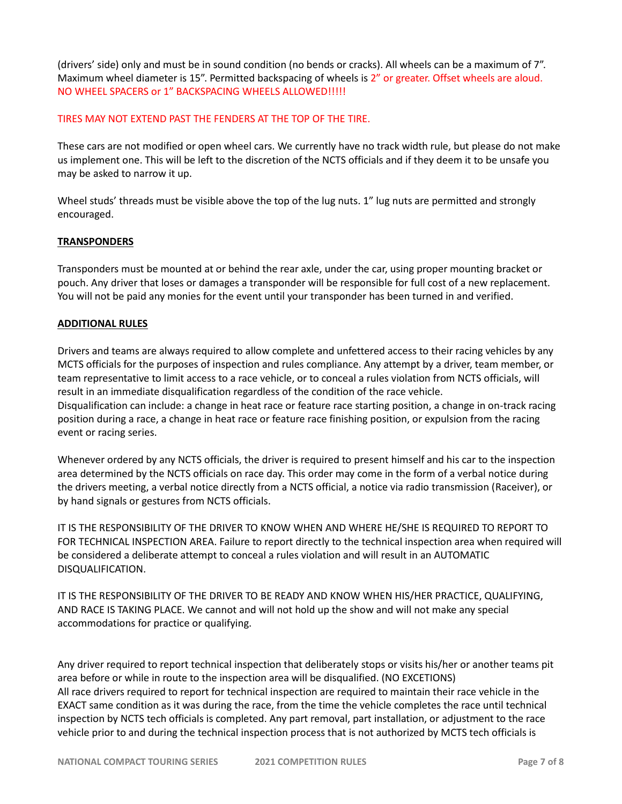(drivers' side) only and must be in sound condition (no bends or cracks). All wheels can be a maximum of 7". Maximum wheel diameter is 15". Permitted backspacing of wheels is 2" or greater. Offset wheels are aloud. NO WHEEL SPACERS or 1" BACKSPACING WHEELS ALLOWED!!!!!

### TIRES MAY NOT EXTEND PAST THE FENDERS AT THE TOP OF THE TIRE.

These cars are not modified or open wheel cars. We currently have no track width rule, but please do not make us implement one. This will be left to the discretion of the NCTS officials and if they deem it to be unsafe you may be asked to narrow it up.

Wheel studs' threads must be visible above the top of the lug nuts. 1" lug nuts are permitted and strongly encouraged.

### **TRANSPONDERS**

Transponders must be mounted at or behind the rear axle, under the car, using proper mounting bracket or pouch. Any driver that loses or damages a transponder will be responsible for full cost of a new replacement. You will not be paid any monies for the event until your transponder has been turned in and verified.

## **ADDITIONAL RULES**

Drivers and teams are always required to allow complete and unfettered access to their racing vehicles by any MCTS officials for the purposes of inspection and rules compliance. Any attempt by a driver, team member, or team representative to limit access to a race vehicle, or to conceal a rules violation from NCTS officials, will result in an immediate disqualification regardless of the condition of the race vehicle. Disqualification can include: a change in heat race or feature race starting position, a change in on-track racing position during a race, a change in heat race or feature race finishing position, or expulsion from the racing event or racing series.

Whenever ordered by any NCTS officials, the driver is required to present himself and his car to the inspection area determined by the NCTS officials on race day. This order may come in the form of a verbal notice during the drivers meeting, a verbal notice directly from a NCTS official, a notice via radio transmission (Raceiver), or by hand signals or gestures from NCTS officials.

IT IS THE RESPONSIBILITY OF THE DRIVER TO KNOW WHEN AND WHERE HE/SHE IS REQUIRED TO REPORT TO FOR TECHNICAL INSPECTION AREA. Failure to report directly to the technical inspection area when required will be considered a deliberate attempt to conceal a rules violation and will result in an AUTOMATIC DISQUALIFICATION.

IT IS THE RESPONSIBILITY OF THE DRIVER TO BE READY AND KNOW WHEN HIS/HER PRACTICE, QUALIFYING, AND RACE IS TAKING PLACE. We cannot and will not hold up the show and will not make any special accommodations for practice or qualifying.

Any driver required to report technical inspection that deliberately stops or visits his/her or another teams pit area before or while in route to the inspection area will be disqualified. (NO EXCETIONS) All race drivers required to report for technical inspection are required to maintain their race vehicle in the EXACT same condition as it was during the race, from the time the vehicle completes the race until technical inspection by NCTS tech officials is completed. Any part removal, part installation, or adjustment to the race vehicle prior to and during the technical inspection process that is not authorized by MCTS tech officials is